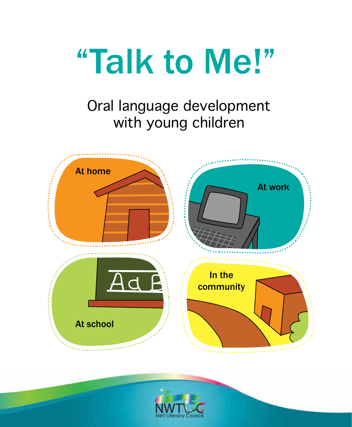

# Oral language development with young children



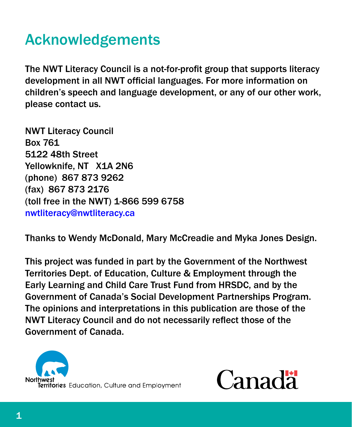# Acknowledgements

The NWT Literacy Council is a not-for-profit group that supports literacy development in all NWT official languages. For more information on children's speech and language development, or any of our other work, please contact us.

NWT Literacy Council Box 761 5122 48th Street Yellowknife, NT X1A 2N6 (phone) 867 873 9262 (fax) 867 873 2176 (toll free in the NWT) 1-866 599 6758 [nwtliteracy@nwtliteracy.ca](mailto:nwtliteracy@nwtliteracy.ca)

Thanks to Wendy McDonald, Mary McCreadie and Myka Jones Design.

This project was funded in part by the Government of the Northwest Territories Dept. of Education, Culture & Employment through the Early Learning and Child Care Trust Fund from HRSDC, and by the Government of Canada's Social Development Partnerships Program. The opinions and interpretations in this publication are those of the NWT Literacy Council and do not necessarily reflect those of the Government of Canada.



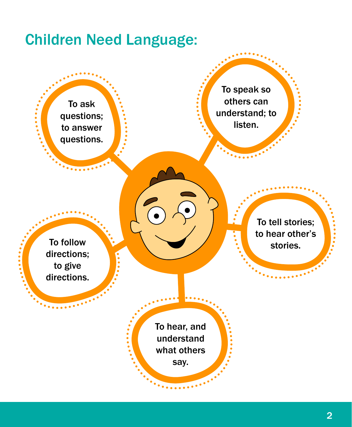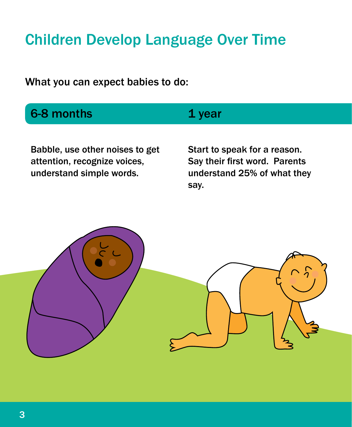# Children Develop Language Over Time

What you can expect babies to do:

| 6-8 months                                                                                                                                                                                                                                                           | 1 year                       |
|----------------------------------------------------------------------------------------------------------------------------------------------------------------------------------------------------------------------------------------------------------------------|------------------------------|
|                                                                                                                                                                                                                                                                      |                              |
| Babble, use other noises to get<br>$\mathbf{r}$ , and the contract of the contract of the contract of the contract of the contract of the contract of the contract of the contract of the contract of the contract of the contract of the contract of the contract o | Start to speak for a reason. |

attention, recognize voices, understand simple words.

Say their first word. Parents understand 25% of what they say.

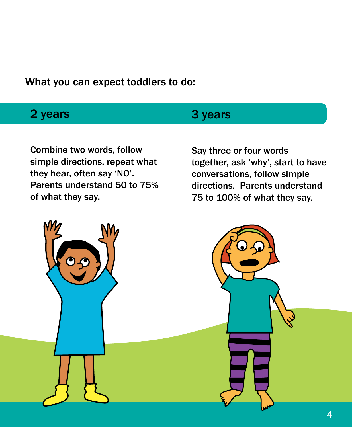What you can expect toddlers to do:

#### 2 years

### 3 years

Combine two words, follow simple directions, repeat what they hear, often say 'NO'. Parents understand 50 to 75% of what they say.

Say three or four words together, ask 'why', start to have conversations, follow simple directions. Parents understand 75 to 100% of what they say.

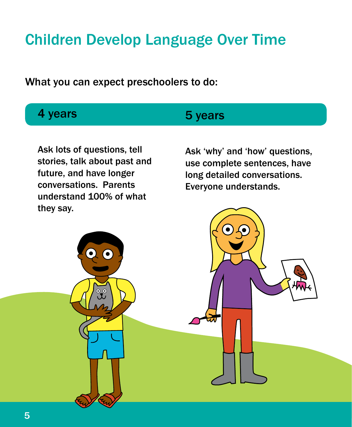# Children Develop Language Over Time

What you can expect preschoolers to do:

### 4 years

#### 5 years

Ask lots of questions, tell stories, talk about past and future, and have longer conversations. Parents understand 100% of what they say.

Ask 'why' and 'how' questions, use complete sentences, have long detailed conversations. Everyone understands.

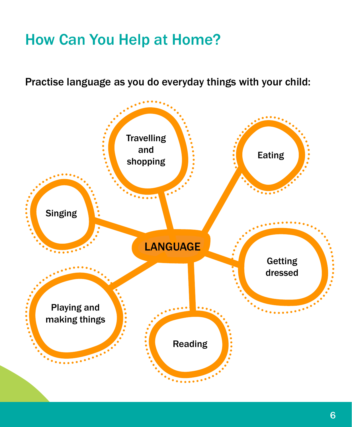# How Can You Help at Home?

Practise language as you do everyday things with your child:

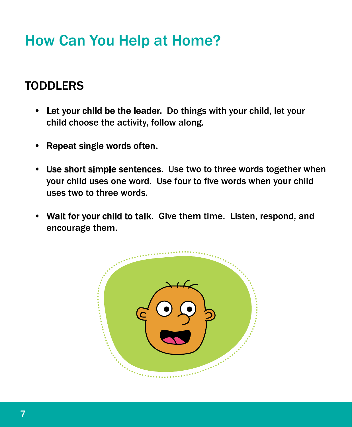# How Can You Help at Home?

### **TODDLERS**

- Let your child be the leader. Do things with your child, let your child choose the activity, follow along.
- Repeat single words often.
- Use short simple sentences. Use two to three words together when your child uses one word. Use four to five words when your child uses two to three words.
- Wait for your child to talk. Give them time. Listen, respond, and encourage them.

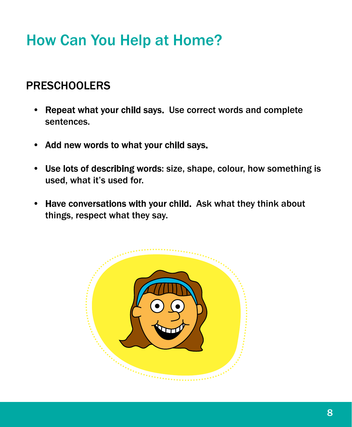# How Can You Help at Home?

### PRESCHOOLERS

- Repeat what your child says. Use correct words and complete sentences.
- Add new words to what your child says.
- Use lots of describing words: size, shape, colour, how something is used, what it's used for.
- Have conversations with your child. Ask what they think about things, respect what they say.

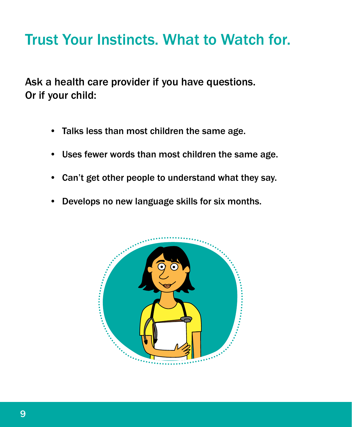## Trust Your Instincts. What to Watch for.

Ask a health care provider if you have questions. Or if your child:

- Talks less than most children the same age.
- Uses fewer words than most children the same age.
- Can't get other people to understand what they say.
- Develops no new language skills for six months.

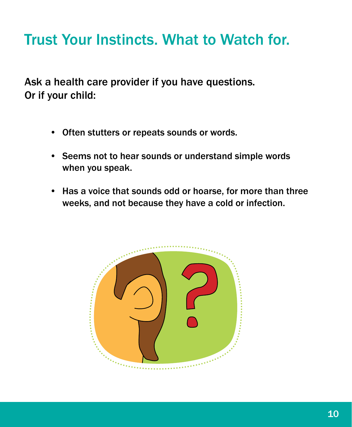# Trust Your Instincts. What to Watch for.

Ask a health care provider if you have questions. Or if your child:

- Often stutters or repeats sounds or words.
- Seems not to hear sounds or understand simple words when you speak.
- Has a voice that sounds odd or hoarse, for more than three weeks, and not because they have a cold or infection.